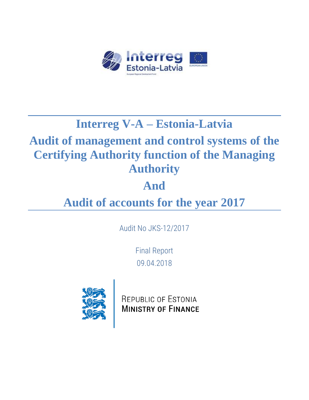

# **Interreg V-A – Estonia-Latvia**

# **Audit of management and control systems of the Certifying Authority function of the Managing Authority**

# **And**

# **Audit of accounts for the year 2017**

Audit No JKS-12/2017

Final Report 09.04.2018



REPUBLIC OF ESTONIA **MINISTRY OF FINANCE**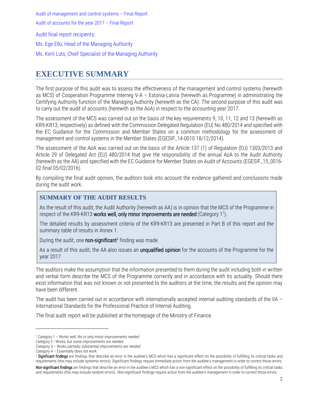Audit final report recipients:

Ms. Ege Ello, Head of the Managing Authority

Ms. Kerli Luts, Chief Specialist of the Managing Authority

### <span id="page-1-0"></span>**EXECUTIVE SUMMARY**

The first purpose of this audit was to assess the effectiveness of the management and control systems (herewith as MCS) of Cooperation Programme Interreg V-A – Estonia-Latvia (herewith as Programme) in administrating the Certifying Authority function of the Managing Authority (herewith as the CA). The second purpose of this audit was to carry out the audit of accounts (herewith as the AoA) in respect to the accounting year 2017.

The assessment of the MCS was carried out on the basis of the key requirements 9, 10, 11, 12 and 13 (herewith as KR9-KR13, respectively) as defined with the Commission Delegated Regulation (EU) No 480/2014 and specified with the EC Guidance for the Commission and Member States on a common methodology for the assessment of management and control systems in the Member States (EGESIF\_14-0010 18/12/2014).

The assessment of the AoA was carried out on the basis of the Article 137 (1) of Regulation (EU) 1303/2013 and Article 29 of Delegated Act (EU) 480/2014 that give the responsibility of the annual AoA to the Audit Authority (herewith as the AA) and specified with the EC Guidance for Member States on Audit of Accounts (EGESIF\_15\_0016- 02 final 05/02/2016).

By compiling the final audit opinion, the auditors took into account the evidence gathered and conclusions made during the audit work.

#### **SUMMARY OF THE AUDIT RESULTS**

As the result of this audit, the Audit Authority (herewith as AA) is in opinion that the MCS of the Programme in respect of the KR9-KR13 works well, only minor improvements are needed (Category 1<sup>1</sup>).

The detailed results by assessment criteria of the KR9-KR13 are presented in Part B of this report and the summary table of results in Annex 1.

During the audit, one non-significant<sup>2</sup> finding was made.

As a result of this audit, the AA also issues an unqualified opinion for the accounts of the Programme for the year 2017

The auditors make the assumption that the information presented to them during the audit including both in written and verbal form describe the MCS of the Programme correctly and in accordance with its actuality. Should there exist information that was not known or not presented to the auditors at the time, the results and the opinion may have been different.

The audit has been carried out in accordance with internationally accepted internal auditing standards of the IIA – International Standards for the Professional Practice of Internal Auditing.

The final audit report will be published at the homepage of the Ministry of Finance.

 $\overline{a}$ 

<sup>1</sup> Category 1 – Works well. No or only minor improvements needed

Category 2 - Works, but some improvements are needed

Category 3 – Works partially; substantial improvements are needed

Category 4 – Essentially does not work.

<sup>&</sup>lt;sup>2</sup> Significant findings are findings that describe an error in the auditee's MCS which has a significant effect on the possibility of fulfilling its critical tasks and requirements (this may include systemic errors). Significant findings require immediate action from the auditee's management in order to correct those errors.

Non-significant findings are findings that describe an error in the auditee's MCS which has a non-significant effect on the possibility of fulfilling its critical tasks and requirements (this may include random errors). Non-significant findings require action from the auditee's management in order to correct those errors.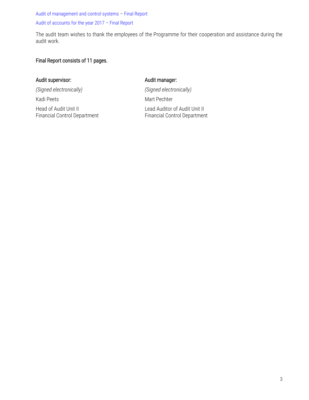The audit team wishes to thank the employees of the Programme for their cooperation and assistance during the audit work.

#### Final Report consists of 11 pages.

#### Audit supervisor: and the state of the Audit manager:

*(Signed electronically) (Signed electronically)*

Kadi Peets Mart Pechter

Head of Audit Unit II Lead Auditor of Audit Unit II Lead Auditor of Audit Unit II<br>Financial Control Department Financial Control Department Financial Control Department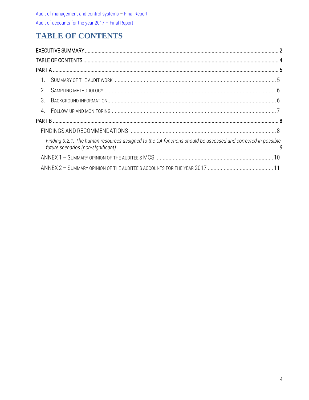## <span id="page-3-0"></span>**TABLE OF CONTENTS**

| $\overline{1}$ . |                                                                                                              |  |  |  |  |
|------------------|--------------------------------------------------------------------------------------------------------------|--|--|--|--|
| 2.               |                                                                                                              |  |  |  |  |
| $\mathcal{S}$    |                                                                                                              |  |  |  |  |
| $\overline{4}$ . |                                                                                                              |  |  |  |  |
|                  |                                                                                                              |  |  |  |  |
|                  |                                                                                                              |  |  |  |  |
|                  | Finding 9.2.1. The human resources assigned to the CA functions should be assessed and corrected in possible |  |  |  |  |
|                  |                                                                                                              |  |  |  |  |
|                  |                                                                                                              |  |  |  |  |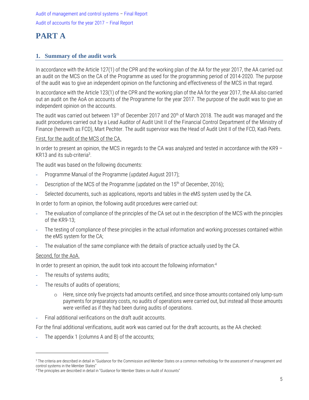### <span id="page-4-0"></span>**PART A**

#### <span id="page-4-1"></span>**1. Summary of the audit work**

In accordance with the Article 127(1) of the CPR and the working plan of the AA for the year 2017, the AA carried out an audit on the MCS on the CA of the Programme as used for the programming period of 2014-2020. The purpose of the audit was to give an independent opinion on the functioning and effectiveness of the MCS in that regard.

In accordance with the Article 123(1) of the CPR and the working plan of the AA for the year 2017, the AA also carried out an audit on the AoA on accounts of the Programme for the year 2017. The purpose of the audit was to give an independent opinion on the accounts.

The audit was carried out between 13<sup>th</sup> of December 2017 and 20<sup>th</sup> of March 2018. The audit was managed and the audit procedures carried out by a Lead Auditor of Audit Unit II of the Financial Control Department of the Ministry of Finance (herewith as FCD), Mart Pechter. The audit supervisor was the Head of Audit Unit II of the FCD, Kadi Peets.

#### First, for the audit of the MCS of the CA.

In order to present an opinion, the MCS in regards to the CA was analyzed and tested in accordance with the KR9 – KR13 and its sub-criteria $3$ .

The audit was based on the following documents:

- **-** Programme Manual of the Programme (updated August 2017);
- **-** Description of the MCS of the Programme (updated on the 15th of December, 2016);
- **-** Selected documents, such as applications, reports and tables in the eMS system used by the CA.

In order to form an opinion, the following audit procedures were carried out:

- **-** The evaluation of compliance of the principles of the CA set out in the description of the MCS with the principles of the KR9-13;
- **-** The testing of compliance of these principles in the actual information and working processes contained within the eMS system for the CA;
- **-** The evaluation of the same compliance with the details of practice actually used by the CA.

#### Second, for the AoA.

 $\overline{a}$ 

In order to present an opinion, the audit took into account the following information:<sup>4</sup>

- **-** The results of systems audits;
- **-** The results of audits of operations;
	- o Here, since only five projects had amounts certified, and since those amounts contained only lump-sum payments for preparatory costs, no audits of operations were carried out, but instead all those amounts were verified as if they had been during audits of operations.
- **-** Final additional verifications on the draft audit accounts.

For the final additional verifications, audit work was carried out for the draft accounts, as the AA checked:

**-** The appendix 1 (columns A and B) of the accounts;

<sup>&</sup>lt;sup>3</sup> The criteria are described in detail in "Guidance for the Commission and Member States on a common methodology for the assessment of management and control systems in the Member States"

<sup>4</sup>The principles are described in detail in "Guidance for Member States on Audit of Accounts"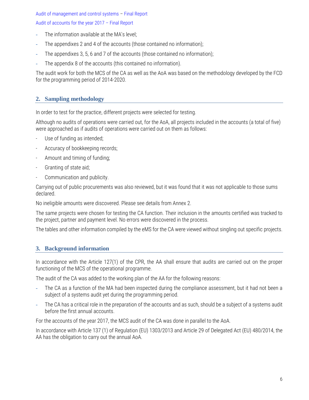Audit of management and control systems – Final Report

#### Audit of accounts for the year 2017 – Final Report

- **-** The information available at the MA's level;
- **-** The appendixes 2 and 4 of the accounts (those contained no information);
- **-** The appendixes 3, 5, 6 and 7 of the accounts (those contained no information);
- **-** The appendix 8 of the accounts (this contained no information).

The audit work for both the MCS of the CA as well as the AoA was based on the methodology developed by the FCD for the programming period of 2014-2020.

#### <span id="page-5-0"></span>**2. Sampling methodology**

In order to test for the practice, different projects were selected for testing.

Although no audits of operations were carried out, for the AoA, all projects included in the accounts (a total of five) were approached as if audits of operations were carried out on them as follows:

- Use of funding as intended;
- Accuracy of bookkeeping records;
- Amount and timing of funding;
- Granting of state aid;
- Communication and publicity.

Carrying out of public procurements was also reviewed, but it was found that it was not applicable to those sums declared.

No ineligible amounts were discovered. Please see details from Annex 2.

The same projects were chosen for testing the CA function. Their inclusion in the amounts certified was tracked to the project, partner and payment level. No errors were discovered in the process.

<span id="page-5-1"></span>The tables and other information compiled by the eMS for the CA were viewed without singling out specific projects.

#### **3. Background information**

In accordance with the Article 127(1) of the CPR, the AA shall ensure that audits are carried out on the proper functioning of the MCS of the operational programme.

The audit of the CA was added to the working plan of the AA for the following reasons:

- **-** The CA as a function of the MA had been inspected during the compliance assessment, but it had not been a subject of a systems audit yet during the programming period.
- **-** The CA has a critical role in the preparation of the accounts and as such, should be a subject of a systems audit before the first annual accounts.

For the accounts of the year 2017, the MCS audit of the CA was done in parallel to the AoA.

In accordance with Article 137 (1) of Regulation (EU) 1303/2013 and Article 29 of Delegated Act (EU) 480/2014, the AA has the obligation to carry out the annual AoA.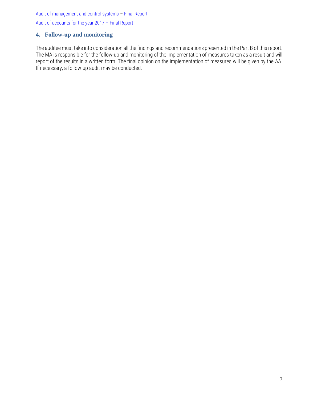#### <span id="page-6-0"></span>**4. Follow-up and monitoring**

The auditee must take into consideration all the findings and recommendations presented in the Part B of this report. The MA is responsible for the follow-up and monitoring of the implementation of measures taken as a result and will report of the results in a written form. The final opinion on the implementation of measures will be given by the AA. If necessary, a follow-up audit may be conducted.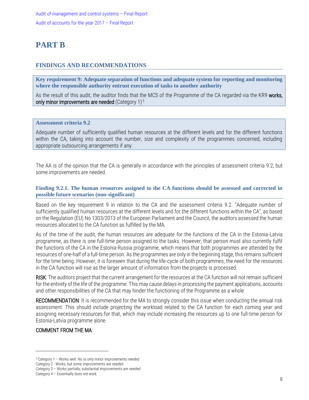### <span id="page-7-0"></span>**PART B**

#### <span id="page-7-1"></span>**FINDINGS AND RECOMMENDATIONS**

**Key requirement 9: Adequate separation of functions and adequate system for reporting and monitoring where the responsible authority entrust execution of tasks to another authority**

As the result of this audit, the auditor finds that the MCS of the Programme of the CA regarded via the KR9 works, only minor improvements are needed (Category 1)<sup>5</sup>

#### **Assessment criteria 9.2**

Adequate number of sufficiently qualified human resources at the different levels and for the different functions within the CA, taking into account the number, size and complexity of the programmes concerned, including appropriate outsourcing arrangements if any.

The AA is of the opinion that the CA is generally in accordance with the principles of assessment criteria 9.2, but some improvements are needed.

#### <span id="page-7-2"></span>**Finding 9.2.1. The human resources assigned to the CA functions should be assessed and corrected in possible future scenarios (non-significant)**

Based on the key requirement 9 in relation to the CA and the assessment criteria 9.2. "Adequate number of sufficiently qualified human resources at the different levels and for the different functions within the CA", as based on the Regulation (EU) No 1303/2013 of the European Parliament and the Council, the auditors assessed the human resources allocated to the CA function as fulfilled by the MA.

As of the time of the audit, the human resources are adequate for the functions of the CA in the Estonia-Latvia programme, as there is one full-time person assigned to the tasks. However, that person must also currently fulfil the functions of the CA in the Estonia-Russia programme, which means that both programmes are attended by the resources of one-half of a full-time person. As the programmes are only in the beginning stage, this remains sufficient for the time being. However, it is foreseen that during the life-cycle of both programmes, the need for the resources in the CA function will rise as the larger amount of information from the projects is processed.

RISK: The auditors project that the current arrangement for the resources at the CA function will not remain sufficient for the entirety of the life of the programme. This may cause delays in processing the payment applications, accounts and other responsibilities of the CA that may hinder the functioning of the Programme as a whole

RECOMMENDATION: It is recommended for the MA to strongly consider this issue when conducting the annual risk assessment. This should include projecting the workload related to the CA function for each coming year and assigning necessary resources for that, which may include increasing the resources up to one full-time person for Estonia-Latvia programme alone

#### COMMENT FROM THE MA:

 $\overline{a}$ 

<sup>5</sup> Category 1 – Works well. No or only minor improvements needed

Category 2 - Works, but some improvements are needed

Category 3 – Works partially; substantial improvements are needed

Category 4 – Essentially does not work.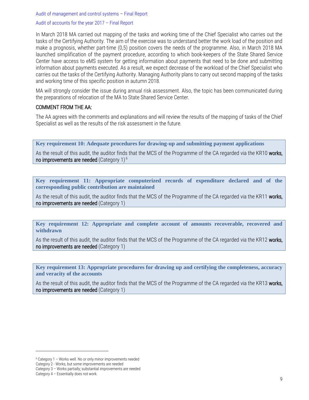Audit of management and control systems – Final Report

#### Audit of accounts for the year 2017 – Final Report

In March 2018 MA carried out mapping of the tasks and working time of the Chief Specialist who carries out the tasks of the Certifying Authority. The aim of the exercise was to understand better the work load of the position and make a prognosis, whether part-time (0,5) position covers the needs of the programme. Also, in March 2018 MA launched simplification of the payment procedure, according to which book-keepers of the State Shared Service Center have access to eMS system for getting information about payments that need to be done and submitting information about payments executed. As a result, we expect decrease of the workload of the Chief Specialist who carries out the tasks of the Certifying Authority. Managing Authority plans to carry out second mapping of the tasks and working time of this specific position in autumn 2018.

MA will strongly consider the issue during annual risk assessment. Also, the topic has been communicated during the preparations of relocation of the MA to State Shared Service Center.

#### COMMENT FROM THE AA:

The AA agrees with the comments and explanations and will review the results of the mapping of tasks of the Chief Specialist as well as the results of the risk assessment in the future.

**Key requirement 10: Adequate procedures for drawing-up and submitting payment applications**

As the result of this audit, the auditor finds that the MCS of the Programme of the CA regarded via the KR10 works, no improvements are needed (Category 1) $^6$ 

**Key requirement 11: Appropriate computerized records of expenditure declared and of the corresponding public contribution are maintained**

As the result of this audit, the auditor finds that the MCS of the Programme of the CA regarded via the KR11 works, no improvements are needed (Category 1)

**Key requirement 12: Appropriate and complete account of amounts recoverable, recovered and withdrawn**

As the result of this audit, the auditor finds that the MCS of the Programme of the CA regarded via the KR12 works, no improvements are needed (Category 1)

**Key requirement 13: Appropriate procedures for drawing up and certifying the completeness, accuracy and veracity of the accounts**

As the result of this audit, the auditor finds that the MCS of the Programme of the CA regarded via the KR13 works, no improvements are needed (Category 1)

 $\overline{a}$ 

<sup>6</sup> Category 1 – Works well. No or only minor improvements needed

Category 2 - Works, but some improvements are needed

Category 3 – Works partially; substantial improvements are needed

Category 4 – Essentially does not work.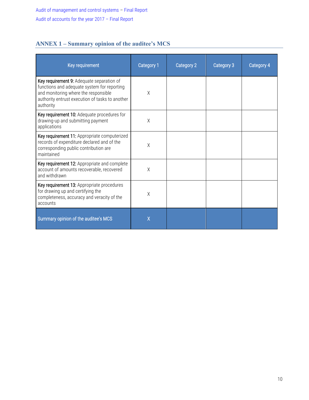#### <span id="page-9-0"></span>**ANNEX 1 – Summary opinion of the auditee's MCS**

| Key requirement                                                                                                                                                                                  | Category 1 | Category 2 | Category 3 | Category 4 |
|--------------------------------------------------------------------------------------------------------------------------------------------------------------------------------------------------|------------|------------|------------|------------|
| Key requirement 9: Adequate separation of<br>functions and adequate system for reporting<br>and monitoring where the responsible<br>authority entrust execution of tasks to another<br>authority | X          |            |            |            |
| Key requirement 10: Adequate procedures for<br>drawing-up and submitting payment<br>applications                                                                                                 | X          |            |            |            |
| Key requirement 11: Appropriate computerized<br>records of expenditure declared and of the<br>corresponding public contribution are<br>maintained                                                | X          |            |            |            |
| Key requirement 12: Appropriate and complete<br>account of amounts recoverable, recovered<br>and withdrawn                                                                                       | X          |            |            |            |
| Key requirement 13: Appropriate procedures<br>for drawing up and certifying the<br>completeness, accuracy and veracity of the<br>accounts                                                        | χ          |            |            |            |
| Summary opinion of the auditee's MCS                                                                                                                                                             | X          |            |            |            |